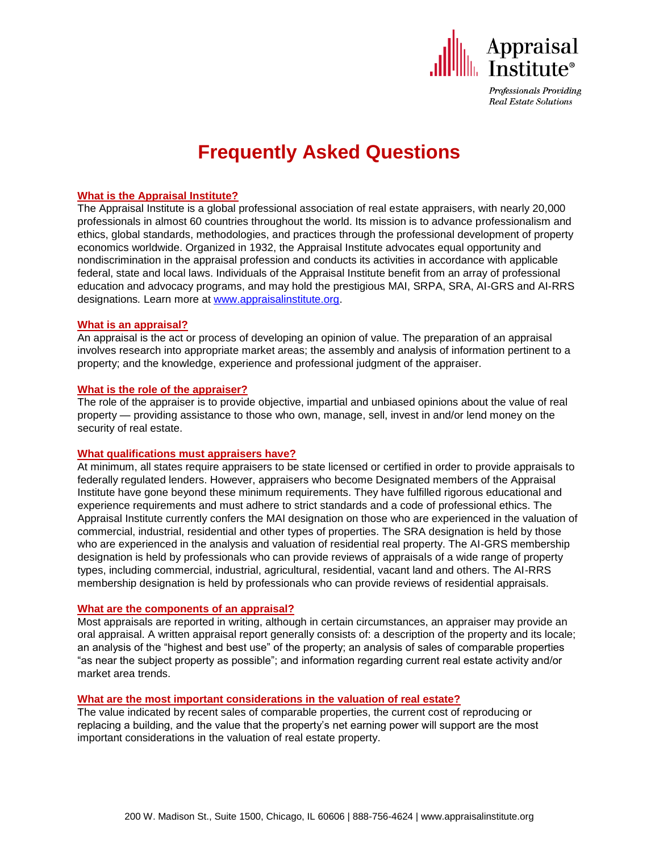

Professionals Providing **Real Estate Solutions** 

# **Frequently Asked Questions**

# **What is the Appraisal Institute?**

The Appraisal Institute is a global professional association of real estate appraisers, with nearly 20,000 professionals in almost 60 countries throughout the world. Its mission is to advance professionalism and ethics, global standards, methodologies, and practices through the professional development of property economics worldwide. Organized in 1932, the Appraisal Institute advocates equal opportunity and nondiscrimination in the appraisal profession and conducts its activities in accordance with applicable federal, state and local laws. Individuals of the Appraisal Institute benefit from an array of professional education and advocacy programs, and may hold the prestigious MAI, SRPA, SRA, AI-GRS and AI-RRS designations*.* Learn more at [www.appraisalinstitute.org.](http://www.appraisalinstitute.org/)

## **What is an appraisal?**

An appraisal is the act or process of developing an opinion of value. The preparation of an appraisal involves research into appropriate market areas; the assembly and analysis of information pertinent to a property; and the knowledge, experience and professional judgment of the appraiser.

#### **What is the role of the appraiser?**

The role of the appraiser is to provide objective, impartial and unbiased opinions about the value of real property — providing assistance to those who own, manage, sell, invest in and/or lend money on the security of real estate.

## **What qualifications must appraisers have?**

At minimum, all states require appraisers to be state licensed or certified in order to provide appraisals to federally regulated lenders. However, appraisers who become Designated members of the Appraisal Institute have gone beyond these minimum requirements. They have fulfilled rigorous educational and experience requirements and must adhere to strict standards and a code of professional ethics. The Appraisal Institute currently confers the MAI designation on those who are experienced in the valuation of commercial, industrial, residential and other types of properties. The SRA designation is held by those who are experienced in the analysis and valuation of residential real property. The AI-GRS membership designation is held by professionals who can provide reviews of appraisals of a wide range of property types, including commercial, industrial, agricultural, residential, vacant land and others. The AI-RRS membership designation is held by professionals who can provide reviews of residential appraisals.

## **What are the components of an appraisal?**

Most appraisals are reported in writing, although in certain circumstances, an appraiser may provide an oral appraisal. A written appraisal report generally consists of: a description of the property and its locale; an analysis of the "highest and best use" of the property; an analysis of sales of comparable properties "as near the subject property as possible"; and information regarding current real estate activity and/or market area trends.

## **What are the most important considerations in the valuation of real estate?**

The value indicated by recent sales of comparable properties, the current cost of reproducing or replacing a building, and the value that the property's net earning power will support are the most important considerations in the valuation of real estate property.